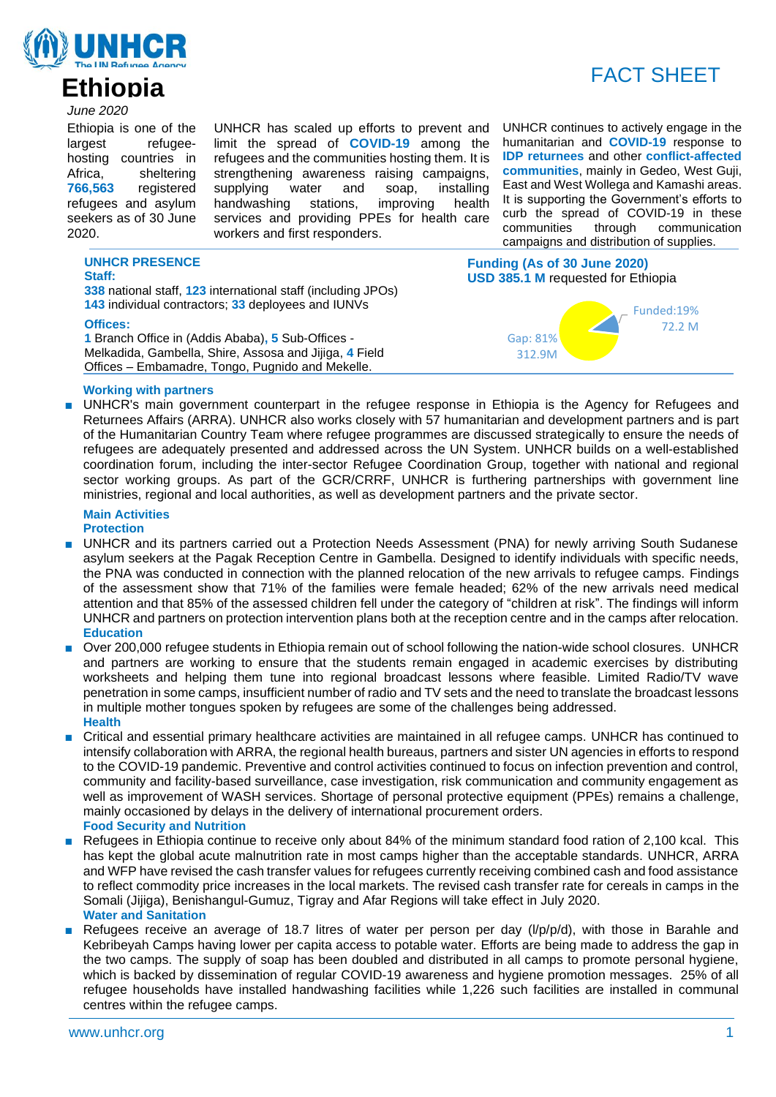

# **Ethiopia**

*June 2020*

Ethiopia is one of the largest refugeehosting countries in Africa, sheltering **766,563** registered refugees and asylum seekers as of 30 June 2020.

UNHCR has scaled up efforts to prevent and limit the spread of **COVID-19** among the refugees and the communities hosting them. It is strengthening awareness raising campaigns, supplying water and soap, installing handwashing stations, improving health services and providing PPEs for health care workers and first responders.



UNHCR continues to actively engage in the humanitarian and **COVID-19** response to **IDP returnees** and other **conflict-affected communities**, mainly in Gedeo, West Guji, East and West Wollega and Kamashi areas. It is supporting the Government's efforts to curb the spread of COVID-19 in these communities through communication campaigns and distribution of supplies.

## **UNHCR PRESENCE Staff:**

**338** national staff, **123** international staff (including JPOs) **143** individual contractors; **33** deployees and IUNVs

### **Offices:**

**1** Branch Office in (Addis Ababa)**, 5** Sub-Offices - Melkadida, Gambella, Shire, Assosa and Jijiga, **4** Field Offices – Embamadre, Tongo, Pugnido and Mekelle.

## ■ **Funding (As of 30 June 2020) USD 385.1 M** requested for Ethiopia



## **Working with partners**

UNHCR's main government counterpart in the refugee response in Ethiopia is the Agency for Refugees and Returnees Affairs (ARRA). UNHCR also works closely with 57 humanitarian and development partners and is part of the Humanitarian Country Team where refugee programmes are discussed strategically to ensure the needs of refugees are adequately presented and addressed across the UN System. UNHCR builds on a well-established coordination forum, including the inter-sector Refugee Coordination Group, together with national and regional sector working groups. As part of the GCR/CRRF, UNHCR is furthering partnerships with government line ministries, regional and local authorities, as well as development partners and the private sector.

 $\overline{a}$ 

#### **Main Activities Protection**

- UNHCR and its partners carried out a Protection Needs Assessment (PNA) for newly arriving South Sudanese asylum seekers at the Pagak Reception Centre in Gambella. Designed to identify individuals with specific needs, the PNA was conducted in connection with the planned relocation of the new arrivals to refugee camps. Findings of the assessment show that 71% of the families were female headed; 62% of the new arrivals need medical attention and that 85% of the assessed children fell under the category of "children at risk". The findings will inform UNHCR and partners on protection intervention plans both at the reception centre and in the camps after relocation. **Education**
- Over 200,000 refugee students in Ethiopia remain out of school following the nation-wide school closures. UNHCR and partners are working to ensure that the students remain engaged in academic exercises by distributing worksheets and helping them tune into regional broadcast lessons where feasible. Limited Radio/TV wave penetration in some camps, insufficient number of radio and TV sets and the need to translate the broadcast lessons in multiple mother tongues spoken by refugees are some of the challenges being addressed. **Health**
- Critical and essential primary healthcare activities are maintained in all refugee camps. UNHCR has continued to intensify collaboration with ARRA, the regional health bureaus, partners and sister UN agencies in efforts to respond to the COVID-19 pandemic. Preventive and control activities continued to focus on infection prevention and control, community and facility-based surveillance, case investigation, risk communication and community engagement as well as improvement of WASH services. Shortage of personal protective equipment (PPEs) remains a challenge, mainly occasioned by delays in the delivery of international procurement orders. **Food Security and Nutrition**
- Refugees in Ethiopia continue to receive only about 84% of the minimum standard food ration of 2,100 kcal. This has kept the global acute malnutrition rate in most camps higher than the acceptable standards. UNHCR, ARRA and WFP have revised the cash transfer values for refugees currently receiving combined cash and food assistance to reflect commodity price increases in the local markets. The revised cash transfer rate for cereals in camps in the Somali (Jijiga), Benishangul-Gumuz, Tigray and Afar Regions will take effect in July 2020. **Water and Sanitation**
- Refugees receive an average of 18.7 litres of water per person per day (l/p/p/d), with those in Barahle and Kebribeyah Camps having lower per capita access to potable water. Efforts are being made to address the gap in the two camps. The supply of soap has been doubled and distributed in all camps to promote personal hygiene, which is backed by dissemination of regular COVID-19 awareness and hygiene promotion messages. 25% of all refugee households have installed handwashing facilities while 1,226 such facilities are installed in communal centres within the refugee camps.